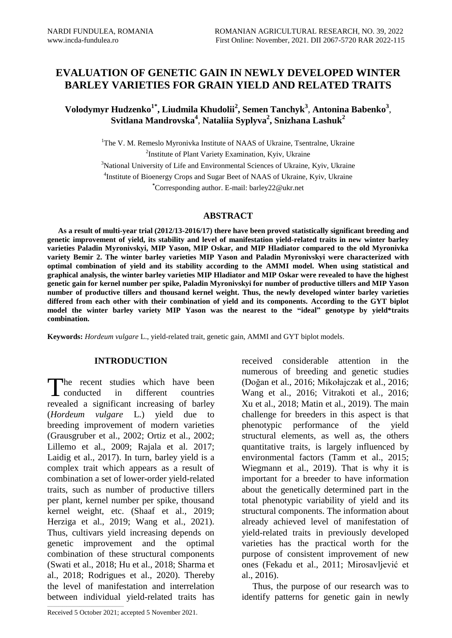# **EVALUATION OF GENETIC GAIN IN NEWLY DEVELOPED WINTER BARLEY VARIETIES FOR GRAIN YIELD AND RELATED TRAITS**

**Volodymyr Hudzenko1\* , Liudmila Khudolii<sup>2</sup> , Semen Tanchyk<sup>3</sup>** , **Antonina Babenko<sup>3</sup>** , **Svitlana Mandrovska<sup>4</sup>** , **Nataliia Syplyva<sup>2</sup> , Snizhana Lashuk<sup>2</sup>**

> <sup>1</sup>The V. M. Remeslo Myronivka Institute of NAAS of Ukraine, Tsentralne, Ukraine <sup>2</sup>Institute of Plant Variety Examination, Kyiv, Ukraine  $3$ National University of Life and Environmental Sciences of Ukraine, Kyiv, Ukraine <sup>4</sup>Institute of Bioenergy Crops and Sugar Beet of NAAS of Ukraine, Kyiv, Ukraine **\***Corresponding author. E-mail: barley22@ukr.net

### **ABSTRACT**

**As a result of multi-year trial (2012/13-2016/17) there have been proved statistically significant breeding and genetic improvement of yield, its stability and level of manifestation yield-related traits in new winter barley varieties Paladin Myronivskyi, MIP Yason, MIP Oskar, and MIP Hladiator compared to the old Myronivka variety Bemir 2. The winter barley varieties MIP Yason and Paladin Myronivskyi were characterized with optimal combination of yield and its stability according to the AMMI model. When using statistical and graphical analysis, the winter barley varieties MIP Hladiator and MIP Oskar were revealed to have the highest genetic gain for kernel number per spike, Paladin Myronivskyi for number of productive tillers and MIP Yason number of productive tillers and thousand kernel weight. Thus, the newly developed winter barley varieties differed from each other with their combination of yield and its components. According to the GYT biplot model the winter barley variety MIP Yason was the nearest to the "ideal" genotype by yield\*traits combination.** 

**Keywords:** *Hordeum vulgare* L., yield-related trait, genetic gain, AMMI and GYT biplot models.

### **INTRODUCTION**

he recent studies which have been The recent studies which have been<br>conducted in different countries revealed a significant increasing of barley (*Hordeum vulgare* L.) yield due to breeding improvement of modern varieties (Grausgruber et al., 2002; Ortiz et al., 2002; Lillemo et al., 2009; [Rajala](https://www.cambridge.org/core/search?filters%5BauthorTerms%5D=A.%20RAJALA&eventCode=SE-AU) et al. 2017; Laidig et al., 2017). In turn, barley yield is a complex trait which appears as a result of combination a set of lower-order yield-related traits, such as number of productive tillers per plant, kernel number per spike, thousand kernel weight, etc. (Shaaf et al., 2019; Herziga et al., 2019; Wang et al., 2021). Thus, cultivars yield increasing depends on genetic improvement and the optimal combination of these structural components (Swati et al., 2018; Hu et al., 2018; Sharma et al., 2018; Rodrigues et al., 2020). Thereby the level of manifestation and interrelation between individual yield-related traits has

received considerable attention in the numerous of breeding and genetic studies (Doğan et al., 2016; Mikołajczak et al., 2016; Wang et al., 2016; Vitrakoti et al., 2016; Xu et al., 2018; Matin et al., 2019). The main challenge for breeders in this aspect is that phenotypic performance of the yield structural elements, as well as, the others quantitative traits, is largely influenced by environmental factors (Tamm et al., 2015; Wiegmann et al., 2019). That is why it is important for a breeder to have information about the genetically determined part in the total phenotypic variability of yield and its structural components. The information about already achieved level of manifestation of yield-related traits in previously developed varieties has the practical worth for the purpose of consistent improvement of new ones (Fekadu et al., 2011; Mirosavljević et al., 2016).

Thus, the purpose of our research was to identify patterns for genetic gain in newly

 $\mathcal{L}_\text{max}$  and  $\mathcal{L}_\text{max}$  and  $\mathcal{L}_\text{max}$  and  $\mathcal{L}_\text{max}$ 

Received 5 October 2021; accepted 5 November 2021.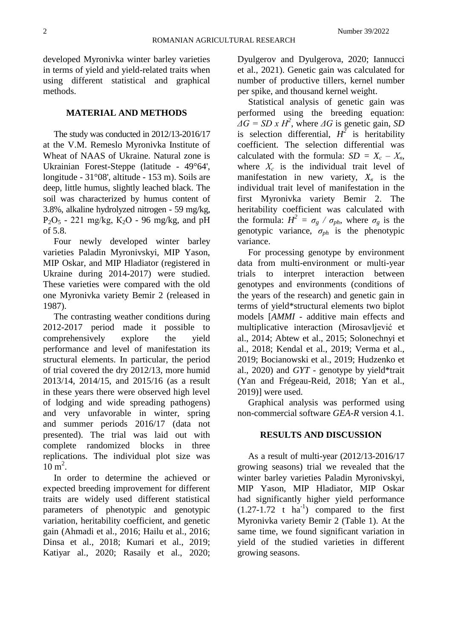developed Myronivka winter barley varieties in terms of yield and yield-related traits when using different statistical and graphical methods.

## **MATERIAL AND METHODS**

The study was conducted in 2012/13-2016/17 at the V.M. Remeslo Myronivka Institute of Wheat of NAAS of Ukraine. Natural zone is Ukrainian Forest-Steppe (latitude - 49°64', longitude - 31°08', altitude - 153 m). Soils are deep, little humus, slightly leached black. The soil was characterized by humus content of 3.8%, alkaline hydrolyzed nitrogen - 59 mg/kg,  $P_2O_5 - 221$  mg/kg,  $K_2O - 96$  mg/kg, and pH of 5.8.

Four newly developed winter barley varieties Paladin Myronivskyi, MIP Yason, MIP Oskar, and MIP Hladiator (registered in Ukraine during 2014-2017) were studied. These varieties were compared with the old one Myronivka variety Bemir 2 (released in 1987).

The contrasting weather conditions during 2012-2017 period made it possible to comprehensively explore the yield performance and level of manifestation its structural elements. In particular, the period of trial covered the dry 2012/13, more humid 2013/14, 2014/15, and 2015/16 (as a result in these years there were observed high level of lodging and wide spreading pathogens) and very unfavorable in winter, spring and summer periods 2016/17 (data not presented). The trial was laid out with complete randomized blocks in three replications. The individual plot size was  $10 \text{ m}^2$ .

In order to determine the achieved or expected breeding improvement for different traits are widely used different statistical parameters of phenotypic and genotypic variation, heritability coefficient, and genetic gain (Ahmadi et al., 2016; Hailu et al., 2016; Dinsa et al., 2018; Kumari et al., 2019; Katiyar al., 2020; Rasaily et al., 2020; Dyulgerov and Dyulgerova, 2020; Iannucci et al., 2021). Genetic gain was calculated for number of productive tillers, kernel number per spike, and thousand kernel weight.

Statistical analysis of genetic gain was performed using the breeding equation:  $\overline{\Delta}G = SD \times H^2$ , where  $\Delta G$  is genetic gain, *SD* is selection differential,  $H^2$  is heritability coefficient. The selection differential was calculated with the formula:  $SD = X_c - X_s$ , where  $X_c$  is the individual trait level of manifestation in new variety,  $X_\beta$  is the individual trait level of manifestation in the first Myronivka variety Bemir 2. The heritability coefficient was calculated with the formula:  $H^2 = \sigma_g / \sigma_{ph}$ , where  $\sigma_g$  is the genotypic variance, *σph* is the phenotypic variance.

For processing genotype by environment data from multi-environment or multi-year trials to interpret interaction between genotypes and environments (conditions of the years of the research) and genetic gain in terms of yield\*structural elements two biplot models [*AMMI* - additive main effects and multiplicative interaction (Mirosavljević et al., 2014; Abtew et al., 2015; Solonechnyi et al., 2018; Kendal et al., 2019; Verma et al., 2019; Bocianowski et al., 2019; Hudzenko et al., 2020) and *GYT* - genotype by yield\*trait (Yan and Frégeau-Reid, 2018; Yan et al., 2019)] were used.

Graphical analysis was performed using non-commercial software *GEA-R* version 4.1.

# **RESULTS AND DISCUSSION**

As a result of multi-year (2012/13-2016/17 growing seasons) trial we revealed that the winter barley varieties Paladin Myronivskyi, MIP Yason, MIP Hladiator, MIP Oskar had significantly higher yield performance  $(1.27-1.72 \text{ t} \text{ ha}^{-1})$  compared to the first Myronivka variety Bemir 2 (Table 1). At the same time, we found significant variation in yield of the studied varieties in different growing seasons.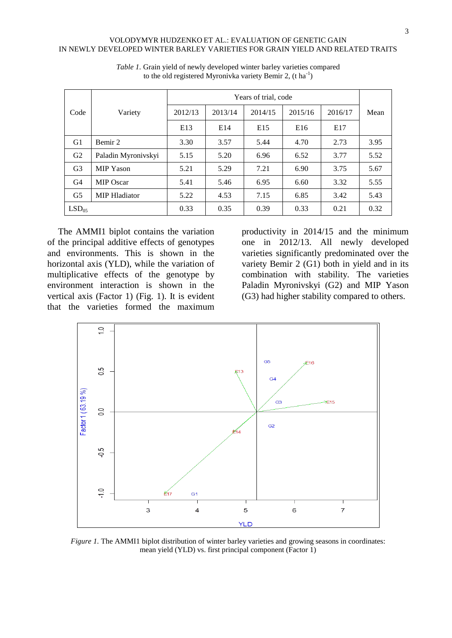|                   |                      | Years of trial, code |         |         |         |         |      |
|-------------------|----------------------|----------------------|---------|---------|---------|---------|------|
| Code              | Variety              | 2012/13              | 2013/14 | 2014/15 | 2015/16 | 2016/17 | Mean |
|                   |                      | E <sub>13</sub>      | E14     | E15     | E16     | E17     |      |
| G1                | Bemir 2              | 3.30                 | 3.57    | 5.44    | 4.70    | 2.73    | 3.95 |
| G2                | Paladin Myronivskyi  | 5.15                 | 5.20    | 6.96    | 6.52    | 3.77    | 5.52 |
| G <sub>3</sub>    | <b>MIP Yason</b>     | 5.21                 | 5.29    | 7.21    | 6.90    | 3.75    | 5.67 |
| G <sub>4</sub>    | <b>MIP Oscar</b>     | 5.41                 | 5.46    | 6.95    | 6.60    | 3.32    | 5.55 |
| G <sub>5</sub>    | <b>MIP</b> Hladiator | 5.22                 | 4.53    | 7.15    | 6.85    | 3.42    | 5.43 |
| LSD <sub>05</sub> |                      | 0.33                 | 0.35    | 0.39    | 0.33    | 0.21    | 0.32 |

*Table 1.* Grain yield of newly developed winter barley varieties compared to the old registered Myronivka variety Bemir 2,  $(t \, ha^{-1})$ 

The AMMI1 biplot contains the variation of the principal additive effects of genotypes and environments. This is shown in the horizontal axis (YLD), while the variation of multiplicative effects of the genotype by environment interaction is shown in the vertical axis (Factor 1) (Fig. 1). It is evident that the varieties formed the maximum productivity in 2014/15 and the minimum one in 2012/13. All newly developed varieties significantly predominated over the variety Bemir 2 (G1) both in yield and in its combination with stability. The varieties Paladin Myronivskyi (G2) and MIP Yason (G3) had higher stability compared to others.



*Figure 1.* The AMMI1 biplot distribution of winter barley varieties and growing seasons in coordinates: mean yield (YLD) vs. first principal component (Factor 1)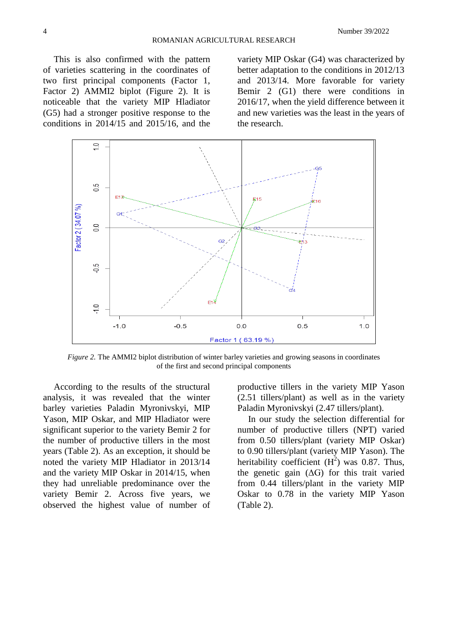This is also confirmed with the pattern of varieties scattering in the coordinates of two first principal components (Factor 1, Factor 2) AMMI2 biplot (Figure 2). It is noticeable that the variety MIP Hladiator (G5) had a stronger positive response to the conditions in 2014/15 and 2015/16, and the

variety MIP Oskar (G4) was characterized by better adaptation to the conditions in 2012/13 and 2013/14. More favorable for variety Bemir 2 (G1) there were conditions in 2016/17, when the yield difference between it and new varieties was the least in the years of the research.



*Figure 2.* The AMMI2 biplot distribution of winter barley varieties and growing seasons in coordinates of the first and second principal components

According to the results of the structural analysis, it was revealed that the winter barley varieties Paladin Myronivskyi, MIP Yason, MIP Oskar, and MIP Hladiator were significant superior to the variety Bemir 2 for the number of productive tillers in the most years (Table 2). As an exception, it should be noted the variety MIP Hladiator in 2013/14 and the variety MIP Oskar in 2014/15, when they had unreliable predominance over the variety Bemir 2. Across five years, we observed the highest value of number of

productive tillers in the variety MIP Yason (2.51 tillers/plant) as well as in the variety Paladin Myronivskyi (2.47 tillers/plant).

In our study the selection differential for number of productive tillers (NPT) varied from 0.50 tillers/plant (variety MIP Oskar) to 0.90 tillers/plant (variety MIP Yason). The heritability coefficient  $(H<sup>2</sup>)$  was 0.87. Thus, the genetic gain  $( \Delta G )$  for this trait varied from 0.44 tillers/plant in the variety MIP Oskar to 0.78 in the variety MIP Yason (Table 2).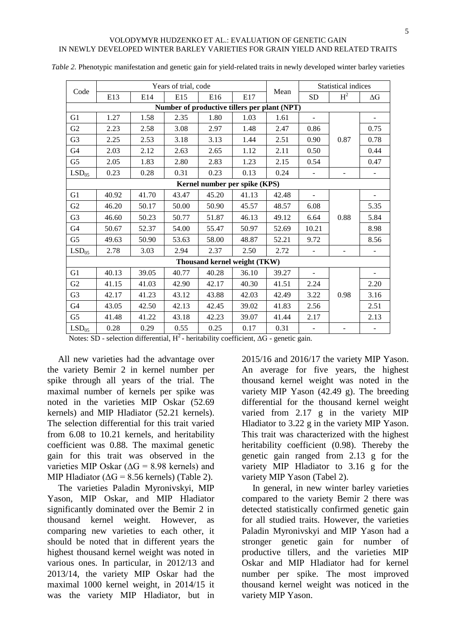| Code                                         | Years of trial, code |       |       |       |       |       | <b>Statistical indices</b> |                          |                          |
|----------------------------------------------|----------------------|-------|-------|-------|-------|-------|----------------------------|--------------------------|--------------------------|
|                                              | E13                  | E14   | E15   | E16   | E17   | Mean  | <b>SD</b>                  | H <sup>2</sup>           | $\Delta G$               |
| Number of productive tillers per plant (NPT) |                      |       |       |       |       |       |                            |                          |                          |
| G1                                           | 1.27                 | 1.58  | 2.35  | 1.80  | 1.03  | 1.61  |                            |                          |                          |
| G2                                           | 2.23                 | 2.58  | 3.08  | 2.97  | 1.48  | 2.47  | 0.86                       |                          | 0.75                     |
| G <sub>3</sub>                               | 2.25                 | 2.53  | 3.18  | 3.13  | 1.44  | 2.51  | 0.90                       | 0.87                     | 0.78                     |
| G <sub>4</sub>                               | 2.03                 | 2.12  | 2.63  | 2.65  | 1.12  | 2.11  | 0.50                       |                          | 0.44                     |
| G <sub>5</sub>                               | 2.05                 | 1.83  | 2.80  | 2.83  | 1.23  | 2.15  | 0.54                       |                          | 0.47                     |
| LSD <sub>05</sub>                            | 0.23                 | 0.28  | 0.31  | 0.23  | 0.13  | 0.24  |                            | $\overline{\phantom{a}}$ |                          |
| Kernel number per spike (KPS)                |                      |       |       |       |       |       |                            |                          |                          |
| G1                                           | 40.92                | 41.70 | 43.47 | 45.20 | 41.13 | 42.48 | $\overline{\phantom{a}}$   |                          | $\overline{\phantom{m}}$ |
| G <sub>2</sub>                               | 46.20                | 50.17 | 50.00 | 50.90 | 45.57 | 48.57 | 6.08                       |                          | 5.35                     |
| G <sub>3</sub>                               | 46.60                | 50.23 | 50.77 | 51.87 | 46.13 | 49.12 | 6.64                       | 0.88                     | 5.84                     |
| G4                                           | 50.67                | 52.37 | 54.00 | 55.47 | 50.97 | 52.69 | 10.21                      |                          | 8.98                     |
| G5                                           | 49.63                | 50.90 | 53.63 | 58.00 | 48.87 | 52.21 | 9.72                       |                          | 8.56                     |
| LSD <sub>05</sub>                            | 2.78                 | 3.03  | 2.94  | 2.37  | 2.50  | 2.72  |                            | $\overline{\phantom{a}}$ |                          |
| Thousand kernel weight (TKW)                 |                      |       |       |       |       |       |                            |                          |                          |
| G1                                           | 40.13                | 39.05 | 40.77 | 40.28 | 36.10 | 39.27 |                            |                          |                          |
| G2                                           | 41.15                | 41.03 | 42.90 | 42.17 | 40.30 | 41.51 | 2.24                       |                          | 2.20                     |
| G <sub>3</sub>                               | 42.17                | 41.23 | 43.12 | 43.88 | 42.03 | 42.49 | 3.22                       | 0.98                     | 3.16                     |
| G4                                           | 43.05                | 42.50 | 42.13 | 42.45 | 39.02 | 41.83 | 2.56                       |                          | 2.51                     |
| G <sub>5</sub>                               | 41.48                | 41.22 | 43.18 | 42.23 | 39.07 | 41.44 | 2.17                       |                          | 2.13                     |
| LSD <sub>05</sub>                            | 0.28                 | 0.29  | 0.55  | 0.25  | 0.17  | 0.31  |                            |                          |                          |

*Table 2.* Phenotypic manifestation and genetic gain for yield-related traits in newly developed winter barley varieties

Notes: SD - selection differential,  $H^2$  - heritability coefficient,  $\Delta G$  - genetic gain.

All new varieties had the advantage over the variety Bemir 2 in kernel number per spike through all years of the trial. The maximal number of kernels per spike was noted in the varieties MIP Oskar (52.69 kernels) and MIP Hladiator (52.21 kernels). The selection differential for this trait varied from 6.08 to 10.21 kernels, and heritability coefficient was 0.88. The maximal genetic gain for this trait was observed in the varieties MIP Oskar ( $\Delta G = 8.98$  kernels) and MIP Hladiator ( $\Delta G = 8.56$  kernels) (Table 2).

The varieties Paladin Myronivskyi, MIP Yason, MIP Oskar, and MIP Hladiator significantly dominated over the Bemir 2 in thousand kernel weight. However, as comparing new varieties to each other, it should be noted that in different years the highest thousand kernel weight was noted in various ones. In particular, in 2012/13 and 2013/14, the variety MIP Oskar had the maximal 1000 kernel weight, in 2014/15 it was the variety MIP Hladiator, but in

2015/16 and 2016/17 the variety MIP Yason. An average for five years, the highest thousand kernel weight was noted in the variety MIP Yason (42.49 g). The breeding differential for the thousand kernel weight varied from 2.17 g in the variety MIP Hladiator to 3.22 g in the variety MIP Yason. This trait was characterized with the highest heritability coefficient (0.98). Thereby the genetic gain ranged from 2.13 g for the variety MIP Hladiator to 3.16 g for the variety MIP Yason (Tabel 2).

In general, in new winter barley varieties compared to the variety Bemir 2 there was detected statistically confirmed genetic gain for all studied traits. However, the varieties Paladin Myronivskyi and MIP Yason had a stronger genetic gain for number of productive tillers, and the varieties MIP Oskar and MIP Hladiator had for kernel number per spike. The most improved thousand kernel weight was noticed in the variety MIP Yason.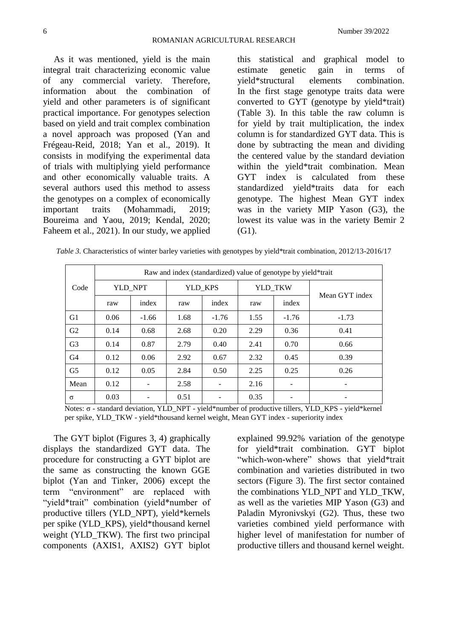As it was mentioned, yield is the main integral trait characterizing economic value of any commercial variety. Therefore, information about the combination of yield and other parameters is of significant practical importance. For genotypes selection based on yield and trait complex combination a novel approach was proposed (Yan and Frégeau-Reid, 2018; Yan et al., 2019). It consists in modifying the experimental data of trials with multiplying yield performance and other economically valuable traits. A several authors used this method to assess the genotypes on a complex of economically important traits (Mohammadi, 2019; Boureima and Yaou, 2019; Kendal, 2020; Faheem et al., 2021). In our study, we applied

this statistical and graphical model to estimate genetic gain in terms of yield\*structural elements combination. In the first stage genotype traits data were converted to GYT (genotype by yield\*trait) (Table 3). In this table the raw column is for yield by trait multiplication, the index column is for standardized GYT data. This is done by subtracting the mean and dividing the centered value by the standard deviation within the yield\*trait combination. Mean GYT index is calculated from these standardized yield\*traits data for each genotype. The highest Mean GYT index was in the variety MIP Yason (G3), the lowest its value was in the variety Bemir 2 (G1).

*Table 3.* Characteristics of winter barley varieties with genotypes by yield\*trait combination, 2012/13-2016/17

|                | Raw and index (standardized) value of genotype by yield*trait |         |         |         |         |         |                |  |
|----------------|---------------------------------------------------------------|---------|---------|---------|---------|---------|----------------|--|
| Code           | YLD NPT                                                       |         | YLD KPS |         | YLD TKW |         |                |  |
|                | raw                                                           | index   | raw     | index   | raw     | index   | Mean GYT index |  |
| G <sub>1</sub> | 0.06                                                          | $-1.66$ | 1.68    | $-1.76$ | 1.55    | $-1.76$ | $-1.73$        |  |
| G <sub>2</sub> | 0.14                                                          | 0.68    | 2.68    | 0.20    | 2.29    | 0.36    | 0.41           |  |
| G <sub>3</sub> | 0.14                                                          | 0.87    | 2.79    | 0.40    | 2.41    | 0.70    | 0.66           |  |
| G <sub>4</sub> | 0.12                                                          | 0.06    | 2.92    | 0.67    | 2.32    | 0.45    | 0.39           |  |
| G <sub>5</sub> | 0.12                                                          | 0.05    | 2.84    | 0.50    | 2.25    | 0.25    | 0.26           |  |
| Mean           | 0.12                                                          |         | 2.58    |         | 2.16    |         |                |  |
| $\sigma$       | 0.03                                                          |         | 0.51    |         | 0.35    |         |                |  |

Notes: σ - standard deviation, YLD\_NPT - yield\*number of productive tillers, YLD\_KPS - yield\*kernel per spike, YLD\_TKW - yield\*thousand kernel weight, Mean GYT index - superiority index

The GYT biplot (Figures 3, 4) graphically displays the standardized GYT data. The procedure for constructing a GYT biplot are the same as constructing the known GGE biplot (Yan and Tinker, 2006) except the term "environment" are replaced with "yield\*trait" combination (yield\*number of productive tillers (YLD\_NPT), yield\*kernels per spike (YLD\_KPS), yield\*thousand kernel weight (YLD TKW). The first two principal components (AXIS1, AXIS2) GYT biplot

explained 99.92% variation of the genotype for yield\*trait combination. GYT biplot "which-won-where" shows that yield\*trait combination and varieties distributed in two sectors (Figure 3). The first sector contained the combinations YLD\_NPT and YLD\_TKW, as well as the varieties MIP Yason (G3) and Paladin Myronivskyi (G2). Thus, these two varieties combined yield performance with higher level of manifestation for number of productive tillers and thousand kernel weight.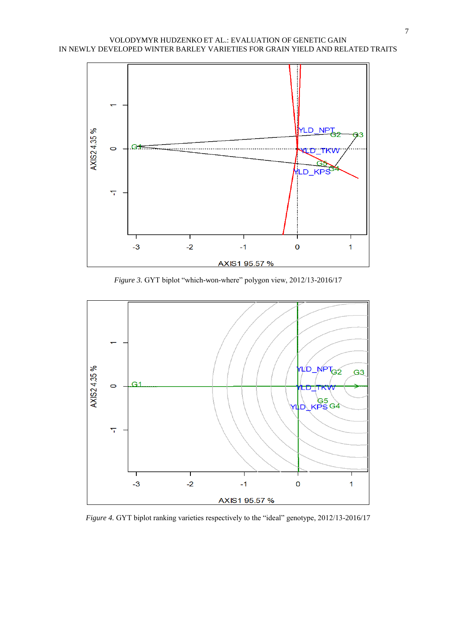

*Figure 3.* GYT biplot "which-won-where" polygon view, 2012/13-2016/17



*Figure 4.* GYT biplot ranking varieties respectively to the "ideal" genotype, 2012/13-2016/17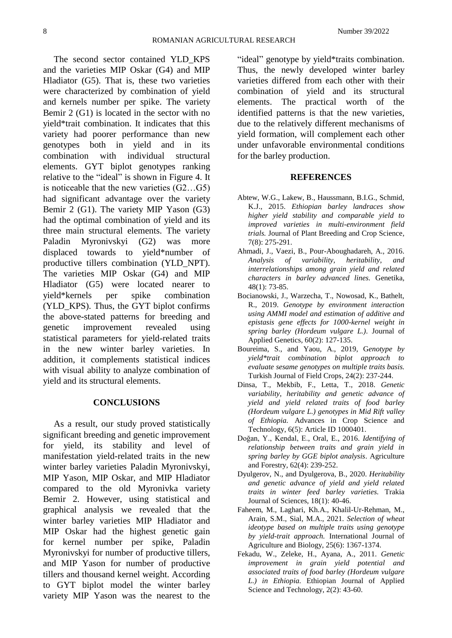The second sector contained YLD\_KPS and the varieties MIP Oskar (G4) and MIP Hladiator (G5). That is, these two varieties were characterized by combination of yield and kernels number per spike. The variety Bemir 2 (G1) is located in the sector with no yield\*trait combination. It indicates that this variety had poorer performance than new genotypes both in yield and in its combination with individual structural elements. GYT biplot genotypes ranking relative to the "ideal" is shown in Figure 4. It is noticeable that the new varieties (G2…G5) had significant advantage over the variety Bemir 2 (G1). The variety MIP Yason (G3) had the optimal combination of yield and its three main structural elements. The variety Paladin Myronivskyi (G2) was more displaced towards to yield\*number of productive tillers combination (YLD\_NPT). The varieties MIP Oskar (G4) and MIP Hladiator (G5) were located nearer to yield\*kernels per spike combination (YLD\_KPS). Thus, the GYT biplot confirms the above-stated patterns for breeding and genetic improvement revealed using statistical parameters for yield-related traits in the new winter barley varieties. In addition, it complements statistical indices with visual ability to analyze combination of yield and its structural elements.

# **CONCLUSIONS**

As a result, our study proved statistically significant breeding and genetic improvement for yield, its stability and level of manifestation yield-related traits in the new winter barley varieties Paladin Myronivskyi, MIP Yason, MIP Oskar, and MIP Hladiator compared to the old Myronivka variety Bemir 2. However, using statistical and graphical analysis we revealed that the winter barley varieties MIP Hladiator and MIP Oskar had the highest genetic gain for kernel number per spike, Paladin Myronivskyi for number of productive tillers, and MIP Yason for number of productive tillers and thousand kernel weight. According to GYT biplot model the winter barley variety MIP Yason was the nearest to the "ideal" genotype by yield\*traits combination. Thus, the newly developed winter barley varieties differed from each other with their combination of yield and its structural elements. The practical worth of the identified patterns is that the new varieties, due to the relatively different mechanisms of yield formation, will complement each other under unfavorable environmental conditions for the barley production.

#### **REFERENCES**

- Abtew, W.G., Lakew, B., Haussmann, B.I.G., Schmid, K.J., 2015. *Ethiopian barley landraces show higher yield stability and comparable yield to improved varieties in multi-environment field trials.* Journal of Plant Breeding and Crop Science*,* 7(8): 275-291.
- Ahmadi, J., Vaezi, B., Pour-Aboughadareh, A., 2016. *Analysis of variability, heritability, and interrelationships among grain yield and related characters in barley advanced lines.* Genetika*,* 48(1): 73-85.
- Bocianowski, J., Warzecha, T., Nowosad, K., Bathelt, R., 2019. *Genotype by environment interaction using AMMI model and estimation of additive and epistasis gene effects for 1000-kernel weight in spring barley (Hordeum vulgare L.)*. Journal of Applied Genetics*,* 60(2): 127-135.
- Boureima, S., and Yaou, A., 2019, G*enotype by yield\*trait combination biplot approach to evaluate sesame genotypes on multiple traits basis.* Turkish Journal of Field Crops, 24(2): 237-244.
- Dinsa, T., Mekbib, F., Letta, T., 2018. *Genetic variability, heritability and genetic advance of yield and yield related traits of food barley (Hordeum vulgare L.) genotypes in Mid Rift valley of Ethiopia.* Advances in Crop Science and Technology, 6(5): Article ID 1000401.
- Doğan, Y., Kendal, E., Oral, E., 2016. *Identifying of relationship between traits and grain yield in spring barley by GGE biplot analysis*. Agriculture and Forestry, 62(4): 239-252.
- Dyulgerov, N., and Dyulgerova, B., 2020. *Heritability and genetic advance of yield and yield related traits in winter feed barley varieties.* Trakia Journal of Sciences, 18(1): 40-46.
- Faheem, M., Laghari, Kh.A., Khalil-Ur-Rehman, M., Arain, S.M., Sial, M.A., 2021. *Selection of wheat ideotype based on multiple traits using genotype by yield-trait approach.* International Journal of Agriculture and Biology, 25(6): 1367-1374.
- Fekadu, W., Zeleke, H., Ayana, A., 2011. *Genetic improvement in grain yield potential and associated traits of food barley (Hordeum vulgare L.) in Ethiopia.* Ethiopian Journal of Applied Science and Technology, 2(2): 43-60.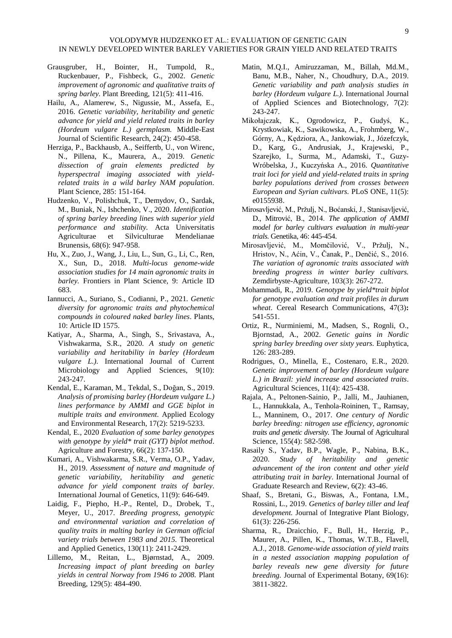- Grausgruber, H., Bointer, H., Tumpold, R., Ruckenbauer, P., Fishbeck, G., 2002. *Genetic improvement of agronomic and qualitative traits of spring barley.* Plant Breeding, 121(5): 411-416.
- Hailu, A., Alamerew, S., Nigussie, M., Assefa, E., 2016. *Genetic variability, heritability and genetic advance for yield and yield related traits in barley (Hordeum vulgare L.) germplasm.* Middle-East Journal of Scientific Research, 24(2): 450-458.
- Herziga, P., Backhausb, A., Seiffertb, U., von Wirenc, N., Pillena, K., Maurera, A., 2019. *Genetic dissection of grain elements predicted by hyperspectral imaging associated with yieldrelated traits in a wild barley NAM population.* Plant Science, 285: 151-164.
- Hudzenko, V., Polishchuk, T., Demydov, O., Sardak, M., Buniak, N., Ishchenko, V., 2020. *Identification of spring barley breeding lines with superior yield performance and stability.* Acta Universitatis Agriculturae et Silviculturae Mendelianae Brunensis, 68(6): 947-958.
- Hu, X., Zuo, J., Wang, J., Liu, L., Sun, G., Li, C., Ren, X., Sun, D., 2018. *Multi-locus genome-wide association studies for 14 main agronomic traits in barley.* Frontiers in Plant Science, 9: Article ID 683.
- Iannucci, A., Suriano, S., Codianni, P., 2021*. Genetic diversity for agronomic traits and phytochemical compounds in coloured naked barley lines*. Plants, 10: Article ID 1575.
- Katiyar, A., Sharma, A., Singh, S., Srivastava, A., Vishwakarma, S.R., 2020. *A study on genetic variability and heritability in barley (Hordeum vulgare L.)*. International Journal of Current Microbiology and Applied Sciences, 9(10): 243-247.
- Kendal, E., Karaman, M., Tekdal, S., Doğan, S., 2019. *Analysis of promising barley (Hordeum vulgare L.) lines performance by AMMI and GGE biplot in multiple traits and environment.* Applied Ecology and Environmental Research, 17(2): 5219-5233.
- Kendal, E., 2020 *Evaluation of some barley genotypes with genotype by yield\* trait (GYT) biplot method*. Agriculture and Forestry, 66(2): 137-150.
- Kumari, A., Vishwakarma, S.R., Verma, O.P., Yadav, H., 2019. *Assessment of nature and magnitude of genetic variability, heritability and genetic advance for yield component traits of barley*. International Journal of Genetics, 11(9): 646-649.
- Laidig, F., Piepho, H.-P., Rentel, D., Drobek, T., Meyer, U., 2017. *Breeding progress, genotypic and environmental variation and correlation of quality traits in malting barley in German official variety trials between 1983 and 2015.* Theoretical and Applied Genetics, 130(11): 2411-2429.
- Lillemo, M., Reitan, L., Bjørnstad, A., 2009. *Increasing impact of plant breeding on barley yields in central Norway from 1946 to 2008.* Plant Breeding, 129(5): 484-490.
- Matin, M.Q.I., Amiruzzaman, M., Billah, Md.M., Banu, M.B., Naher, N., Choudhury, D.A., 2019. *Genetic variability and path analysis studies in barley (Hordeum vulgare L.)*. International Journal of Applied Sciences and Biotechnology, 7(2): 243-247.
- Mikołajczak, K., Ogrodowicz, P., Gudyś, K., Krystkowiak, K., Sawikowska, A., Frohmberg, W., Górny, A., Kędziora, A., Jankowiak, J., Józefczyk, D., Karg, G., Andrusiak, J., Krajewski, P., Szarejko, I., Surma, M., Adamski, T., Guzy-Wróbelska, J., Kuczyńska A., 2016. *Quantitative trait loci for yield and yield-related traits in spring barley populations derived from crosses between European and Syrian cultivars.* PLoS ONE, 11(5): e0155938.
- Mirosavljević, M., Pržulj, N., Boćanski, J., Stanisavljević, D., Mitrović, B., 2014. *The application of AMMI model for barley cultivars evaluation in multi-year trials.* Genetika, 46: 445-454.
- Mirosavljević, M., Momčilović, V., Pržulj, N., Hristov, N., Aćin, V., Čanak, P., Denčić, S., 2016. *The variation of agronomic traits associated with breeding progress in winter barley cultivars.* Zemdirbyste-Agriculture*,* 103(3): 267-272.
- Mohammadi, R., 2019. *Genotype by yield\*trait biplot for genotype evaluation and trait profiles in durum wheat*. Cereal Research Communications, 47(3)**:**  541-551.
- Ortiz, R., Nurminiemi, M., Madsen, S., Rognli, O., Bjornstad, A., 2002. *Genetic gains in Nordic spring barley breeding over sixty years.* Euphytica, 126: 283-289.
- Rodrigues, O., Minella, E., Costenaro, E.R., 2020. *Genetic improvement of barley (Hordeum vulgare L.) in Brazil: yield increase and associated traits*. Agricultural Sciences, 11(4): 425-438.
- [Rajala,](https://www.cambridge.org/core/search?filters%5BauthorTerms%5D=A.%20RAJALA&eventCode=SE-AU) A., [Peltonen-Sainio,](https://www.cambridge.org/core/search?filters%5BauthorTerms%5D=P.%20PELTONEN-SAINIO&eventCode=SE-AU) P., Jalli, M., Jauhianen, L., Hannukkala, A., Tenhola-Roininen, T., Ramsay, L., Manninem, O., 2017. *One century of Nordic barley breeding: nitrogen use efficiency, agronomic traits and genetic diversity.* The Journal of Agricultural Science, 155(4): 582-598.
- Rasaily S., Yadav, B.P., Wagle, P., Nabina, B.K., 2020. *Study of heritability and genetic advancement of the iron content and other yield attributing trait in barley*. International Journal of Graduate Research and Review, 6(2): 43-46.
- Shaaf, S., Bretani, G., Biswas, A., Fontana, I.M., Rossini, L., 2019. *Genetics of barley tiller and leaf development.* Journal of Integrative Plant Biology, 61(3): 226-256.
- Sharma, R., Draicchio, F., Bull, H., Herzig, P., Maurer, A., Pillen, K., Thomas, W.T.B., Flavell, A.J., 2018. *Genome-wide association of yield traits in a nested association mapping population of barley reveals new gene diversity for future breeding.* Journal of Experimental Botany, 69(16): 3811-3822.